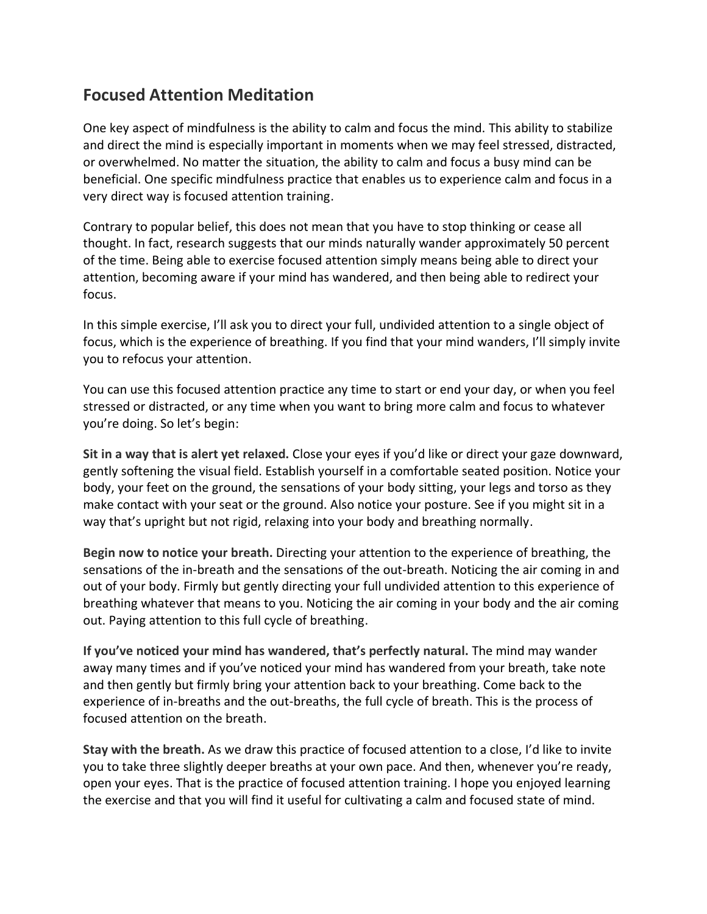## **Focused Attention Meditation**

One key aspect of mindfulness is the ability to calm and focus the mind. This ability to stabilize and direct the mind is especially important in moments when we may feel stressed, distracted, or overwhelmed. No matter the situation, the ability to calm and focus a busy mind can be beneficial. One specific mindfulness practice that enables us to experience calm and focus in a very direct way is focused attention training.

Contrary to popular belief, this does not mean that you have to stop thinking or cease all thought. In fact, research suggests that our minds naturally wander approximately 50 percent of the time. Being able to exercise focused attention simply means being able to direct your attention, becoming aware if your mind has wandered, and then being able to redirect your focus.

In this simple exercise, I'll ask you to direct your full, undivided attention to a single object of focus, which is the experience of breathing. If you find that your mind wanders, I'll simply invite you to refocus your attention.

You can use this focused attention practice any time to start or end your day, or when you feel stressed or distracted, or any time when you want to bring more calm and focus to whatever you're doing. So let's begin:

**Sit in a way that is alert yet relaxed.** Close your eyes if you'd like or direct your gaze downward, gently softening the visual field. Establish yourself in a comfortable seated position. Notice your body, your feet on the ground, the sensations of your body sitting, your legs and torso as they make contact with your seat or the ground. Also notice your posture. See if you might sit in a way that's upright but not rigid, relaxing into your body and breathing normally.

**Begin now to notice your breath.** Directing your attention to the experience of breathing, the sensations of the in-breath and the sensations of the out-breath. Noticing the air coming in and out of your body. Firmly but gently directing your full undivided attention to this experience of breathing whatever that means to you. Noticing the air coming in your body and the air coming out. Paying attention to this full cycle of breathing.

**If you've noticed your mind has wandered, that's perfectly natural.** The mind may wander away many times and if you've noticed your mind has wandered from your breath, take note and then gently but firmly bring your attention back to your breathing. Come back to the experience of in-breaths and the out-breaths, the full cycle of breath. This is the process of focused attention on the breath.

**Stay with the breath.** As we draw this practice of focused attention to a close, I'd like to invite you to take three slightly deeper breaths at your own pace. And then, whenever you're ready, open your eyes. That is the practice of focused attention training. I hope you enjoyed learning the exercise and that you will find it useful for cultivating a calm and focused state of mind.